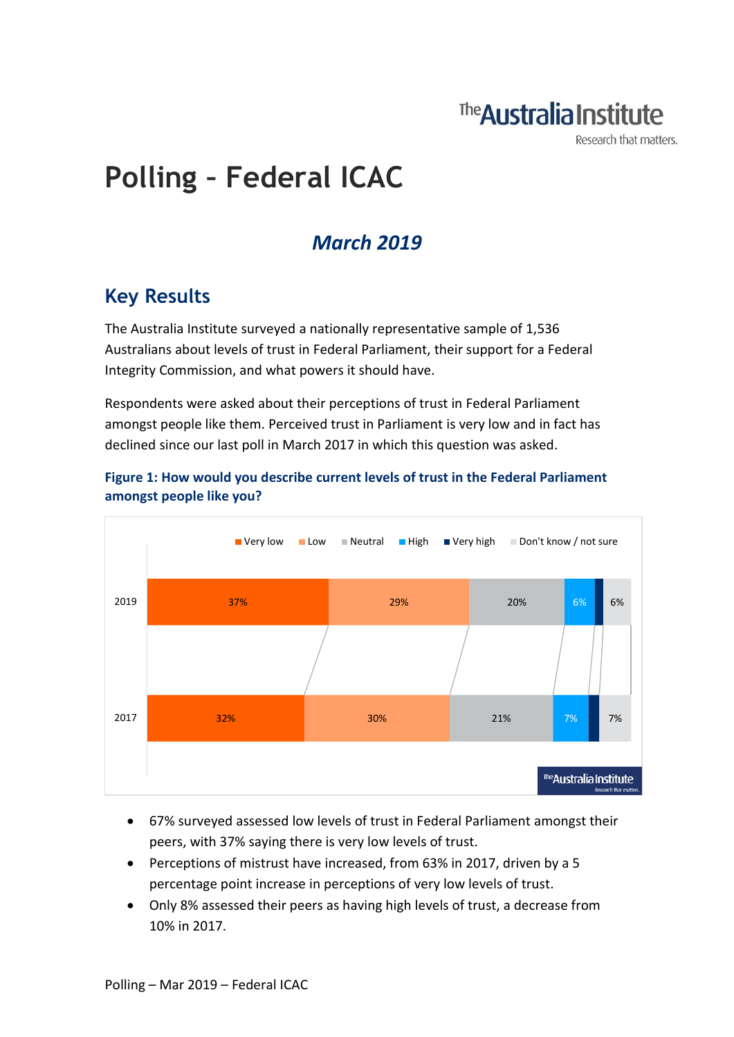## The **Australia Institute**

Research that matters.

# **Polling – Federal ICAC**

### *March 2019*

### **Key Results**

The Australia Institute surveyed a nationally representative sample of 1,536 Australians about levels of trust in Federal Parliament, their support for a Federal Integrity Commission, and what powers it should have.

Respondents were asked about their perceptions of trust in Federal Parliament amongst people like them. Perceived trust in Parliament is very low and in fact has declined since our last poll in March 2017 in which this question was asked.



#### **Figure 1: How would you describe current levels of trust in the Federal Parliament amongst people like you?**

- 67% surveyed assessed low levels of trust in Federal Parliament amongst their peers, with 37% saying there is very low levels of trust.
- Perceptions of mistrust have increased, from 63% in 2017, driven by a 5 percentage point increase in perceptions of very low levels of trust.
- Only 8% assessed their peers as having high levels of trust, a decrease from 10% in 2017.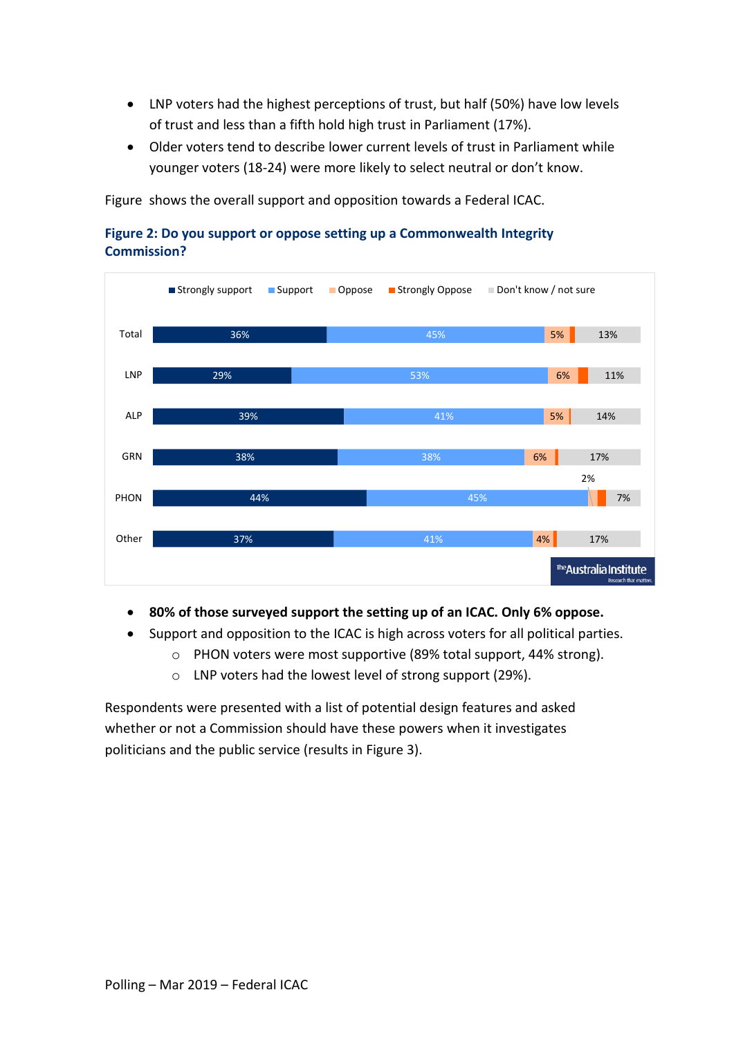- LNP voters had the highest perceptions of trust, but half (50%) have low levels of trust and less than a fifth hold high trust in Parliament (17%).
- Older voters tend to describe lower current levels of trust in Parliament while younger voters (18-24) were more likely to select neutral or don't know.

[Figure](#page-2-0) shows the overall support and opposition towards a Federal ICAC.





- **80% of those surveyed support the setting up of an ICAC. Only 6% oppose.**
- Support and opposition to the ICAC is high across voters for all political parties.
	- o PHON voters were most supportive (89% total support, 44% strong).
	- o LNP voters had the lowest level of strong support (29%).

Respondents were presented with a list of potential design features and asked whether or not a Commission should have these powers when it investigates politicians and the public service (results in Figure 3).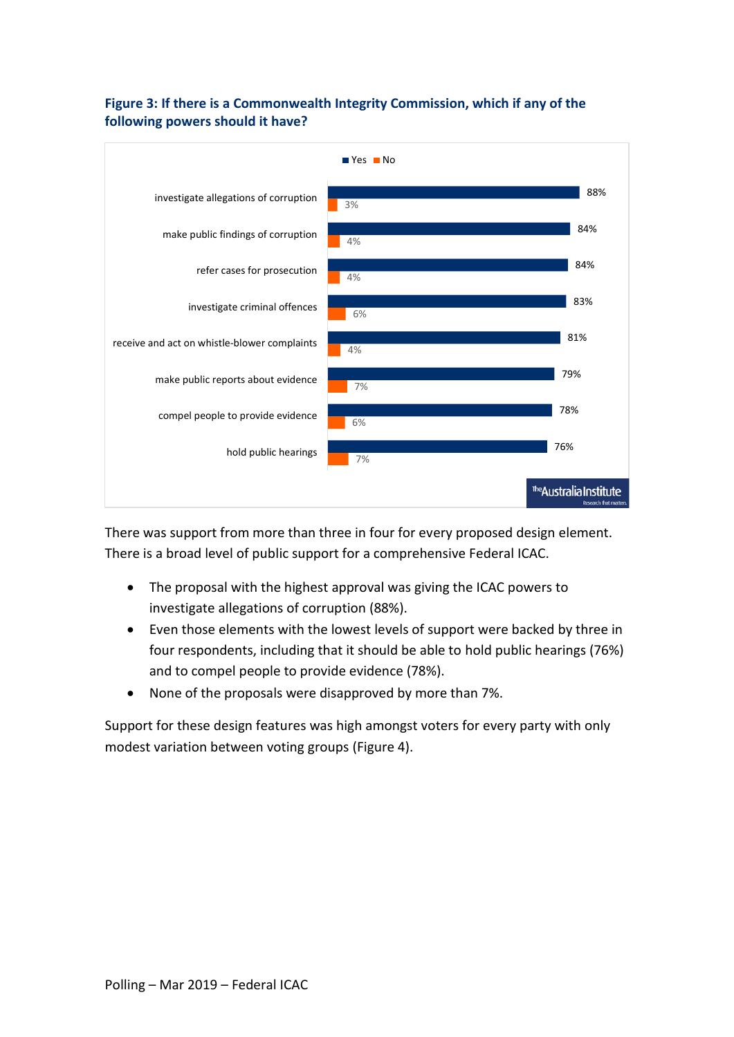

### <span id="page-2-0"></span>**Figure 3: If there is a Commonwealth Integrity Commission, which if any of the following powers should it have?**

There was support from more than three in four for every proposed design element. There is a broad level of public support for a comprehensive Federal ICAC.

- The proposal with the highest approval was giving the ICAC powers to investigate allegations of corruption (88%).
- Even those elements with the lowest levels of support were backed by three in four respondents, including that it should be able to hold public hearings (76%) and to compel people to provide evidence (78%).
- None of the proposals were disapproved by more than 7%.

Support for these design features was high amongst voters for every party with only modest variation between voting groups (Figure 4).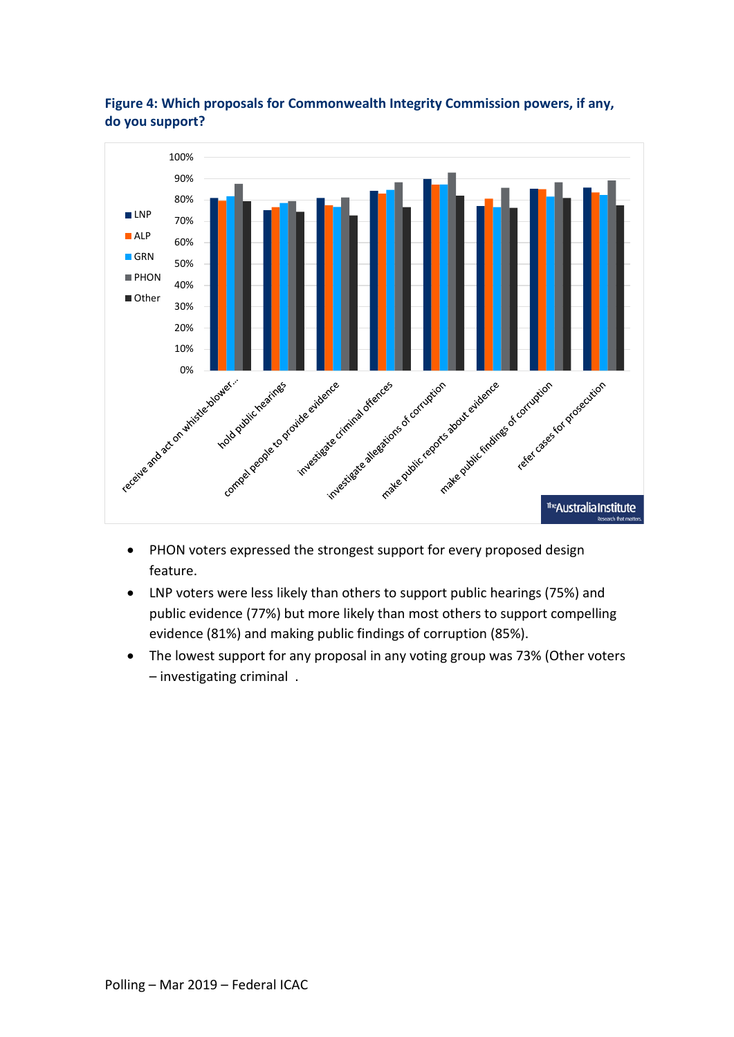

#### **Figure 4: Which proposals for Commonwealth Integrity Commission powers, if any, do you support?**

- PHON voters expressed the strongest support for every proposed design feature.
- LNP voters were less likely than others to support public hearings (75%) and public evidence (77%) but more likely than most others to support compelling evidence (81%) and making public findings of corruption (85%).
- The lowest support for any proposal in any voting group was 73% (Other voters – investigating criminal .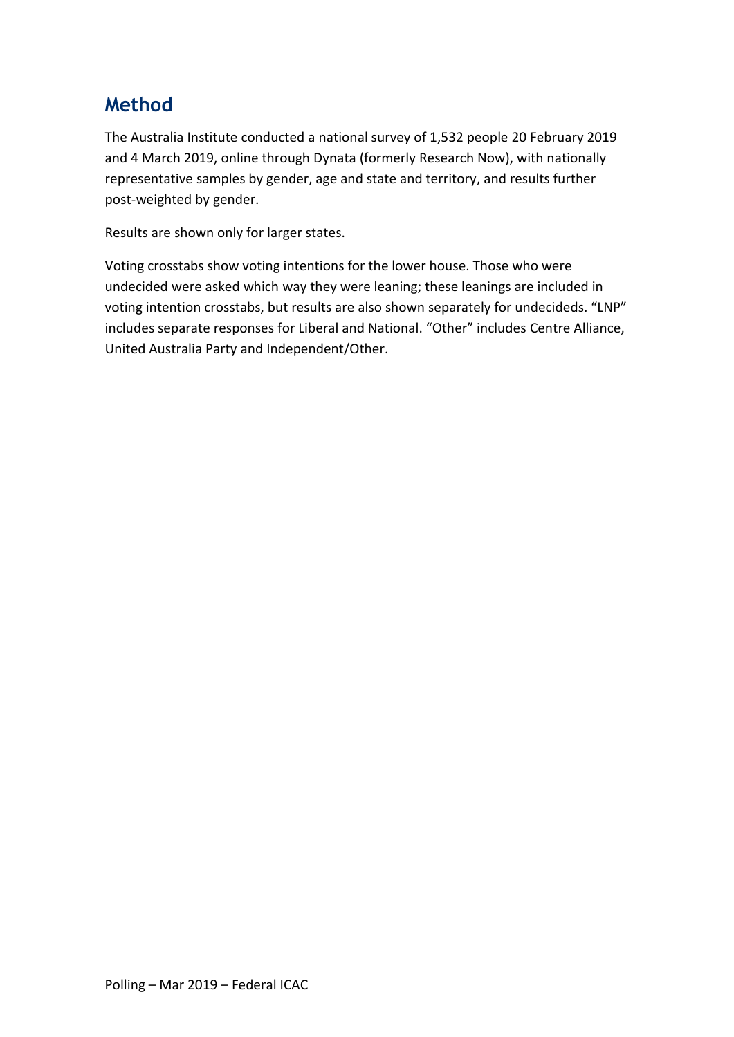### **Method**

The Australia Institute conducted a national survey of 1,532 people 20 February 2019 and 4 March 2019, online through Dynata (formerly Research Now), with nationally representative samples by gender, age and state and territory, and results further post-weighted by gender.

Results are shown only for larger states.

Voting crosstabs show voting intentions for the lower house. Those who were undecided were asked which way they were leaning; these leanings are included in voting intention crosstabs, but results are also shown separately for undecideds. "LNP" includes separate responses for Liberal and National. "Other" includes Centre Alliance, United Australia Party and Independent/Other.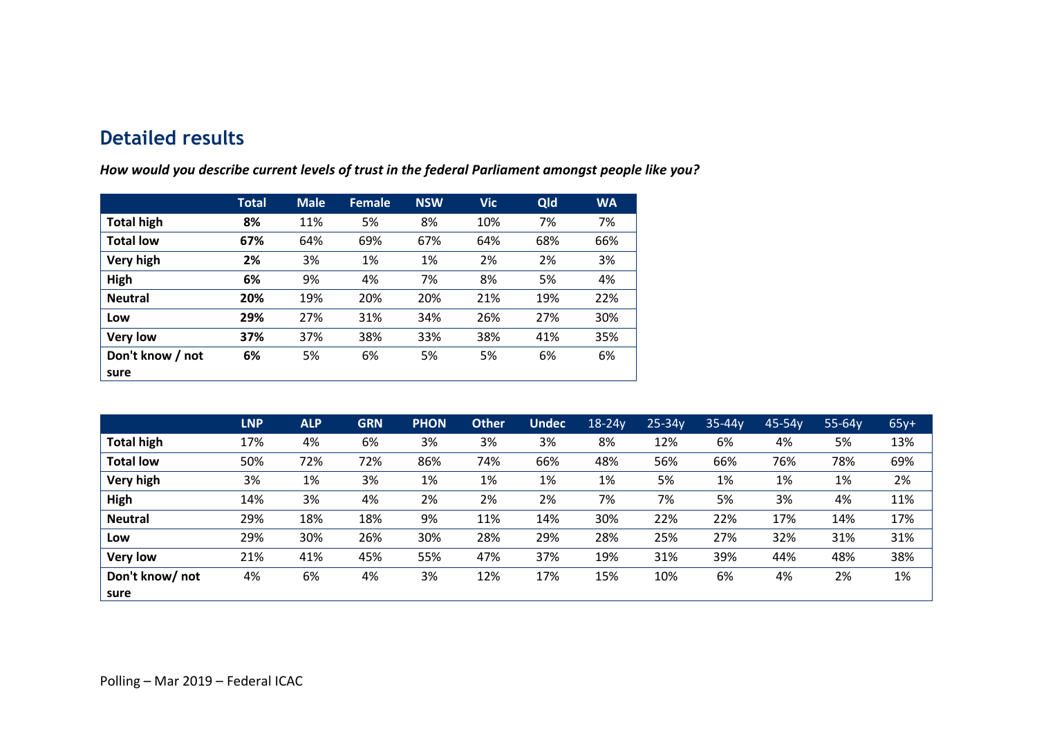### **Detailed results**

|                   | Total | <b>Male</b> | <b>Female</b> | <b>NSW</b> | <b>Vic</b> | Qld | <b>WA</b> |
|-------------------|-------|-------------|---------------|------------|------------|-----|-----------|
| <b>Total high</b> | 8%    | 11%         | 5%            | 8%         | 10%        | 7%  | 7%        |
| <b>Total low</b>  | 67%   | 64%         | 69%           | 67%        | 64%        | 68% | 66%       |
| Very high         | 2%    | 3%          | 1%            | 1%         | 2%         | 2%  | 3%        |
| High              | 6%    | 9%          | 4%            | 7%         | 8%         | 5%  | 4%        |
| <b>Neutral</b>    | 20%   | 19%         | 20%           | 20%        | 21%        | 19% | 22%       |
| Low               | 29%   | 27%         | 31%           | 34%        | 26%        | 27% | 30%       |
| <b>Very low</b>   | 37%   | 37%         | 38%           | 33%        | 38%        | 41% | 35%       |
| Don't know / not  | 6%    | 5%          | 6%            | 5%         | 5%         | 6%  | 6%        |
| sure              |       |             |               |            |            |     |           |

*How would you describe current levels of trust in the federal Parliament amongst people like you?*

|                   | <b>LNP</b> | <b>ALP</b> | <b>GRN</b> | <b>PHON</b> | <b>Other</b> | <b>Undec</b> | $18-24y$ | $25 - 34y$ | $35 - 44y$ | 45-54y | 55-64y | $65y+$ |
|-------------------|------------|------------|------------|-------------|--------------|--------------|----------|------------|------------|--------|--------|--------|
| <b>Total high</b> | 17%        | 4%         | 6%         | 3%          | 3%           | 3%           | 8%       | 12%        | 6%         | 4%     | 5%     | 13%    |
| <b>Total low</b>  | 50%        | 72%        | 72%        | 86%         | 74%          | 66%          | 48%      | 56%        | 66%        | 76%    | 78%    | 69%    |
| Very high         | 3%         | 1%         | 3%         | 1%          | 1%           | 1%           | 1%       | 5%         | 1%         | 1%     | 1%     | 2%     |
| High              | 14%        | 3%         | 4%         | 2%          | 2%           | 2%           | 7%       | 7%         | 5%         | 3%     | 4%     | 11%    |
| <b>Neutral</b>    | 29%        | 18%        | 18%        | 9%          | 11%          | 14%          | 30%      | 22%        | 22%        | 17%    | 14%    | 17%    |
| Low               | 29%        | 30%        | 26%        | 30%         | 28%          | 29%          | 28%      | 25%        | 27%        | 32%    | 31%    | 31%    |
| <b>Very low</b>   | 21%        | 41%        | 45%        | 55%         | 47%          | 37%          | 19%      | 31%        | 39%        | 44%    | 48%    | 38%    |
| Don't know/not    | 4%         | 6%         | 4%         | 3%          | 12%          | 17%          | 15%      | 10%        | 6%         | 4%     | 2%     | 1%     |
| sure              |            |            |            |             |              |              |          |            |            |        |        |        |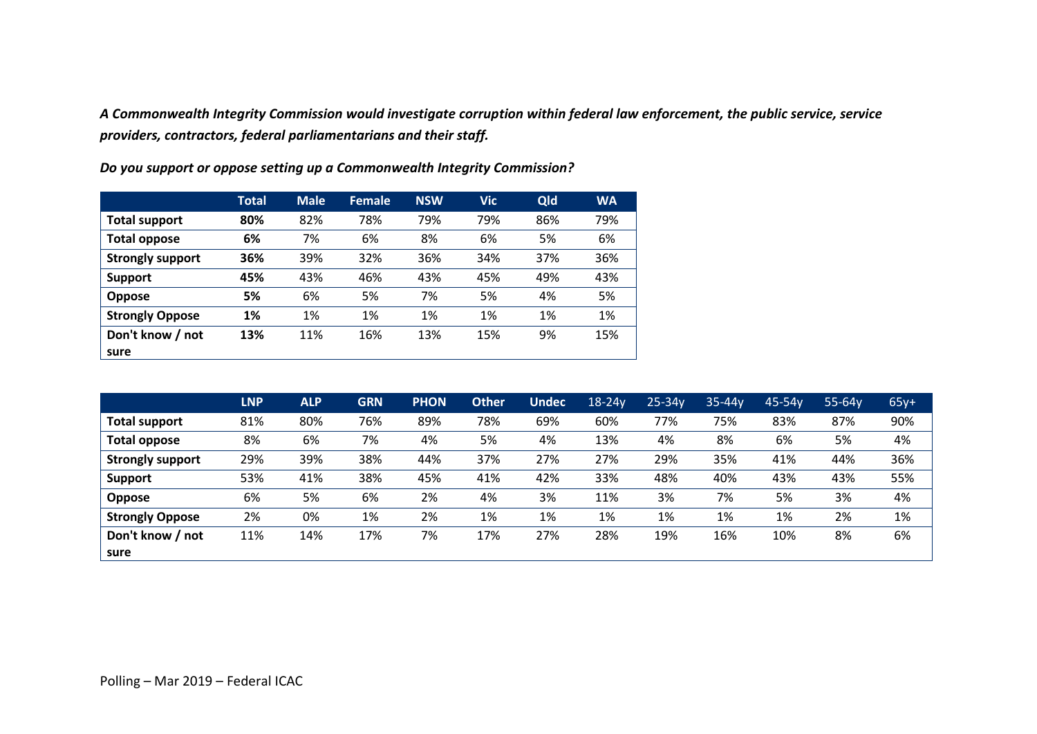*A Commonwealth Integrity Commission would investigate corruption within federal law enforcement, the public service, service providers, contractors, federal parliamentarians and their staff.* 

|                         | <b>Total</b> | <b>Male</b> | <b>Female</b> | <b>NSW</b> | <b>Vic</b> | Qld | <b>WA</b> |
|-------------------------|--------------|-------------|---------------|------------|------------|-----|-----------|
| <b>Total support</b>    | 80%          | 82%         | 78%           | 79%        | 79%        | 86% | 79%       |
| <b>Total oppose</b>     | 6%           | 7%          | 6%            | 8%         | 6%         | 5%  | 6%        |
| <b>Strongly support</b> | 36%          | 39%         | 32%           | 36%        | 34%        | 37% | 36%       |
| <b>Support</b>          | 45%          | 43%         | 46%           | 43%        | 45%        | 49% | 43%       |
| <b>Oppose</b>           | 5%           | 6%          | 5%            | 7%         | 5%         | 4%  | 5%        |
| <b>Strongly Oppose</b>  | 1%           | 1%          | 1%            | 1%         | 1%         | 1%  | 1%        |
| Don't know / not        | 13%          | 11%         | 16%           | 13%        | 15%        | 9%  | 15%       |
| sure                    |              |             |               |            |            |     |           |

*Do you support or oppose setting up a Commonwealth Integrity Commission?*

|                         | <b>LNP</b> | <b>ALP</b> | <b>GRN</b> | <b>PHON</b> | <b>Other</b> | Undec | $18-24y$ | $25 - 34y$ | $35 - 44y$ | $45-54y$ | $55-64y$ | $65y+$ |
|-------------------------|------------|------------|------------|-------------|--------------|-------|----------|------------|------------|----------|----------|--------|
| Total support           | 81%        | 80%        | 76%        | 89%         | 78%          | 69%   | 60%      | 77%        | 75%        | 83%      | 87%      | 90%    |
| <b>Total oppose</b>     | 8%         | 6%         | 7%         | 4%          | 5%           | 4%    | 13%      | 4%         | 8%         | 6%       | 5%       | 4%     |
| <b>Strongly support</b> | 29%        | 39%        | 38%        | 44%         | 37%          | 27%   | 27%      | 29%        | 35%        | 41%      | 44%      | 36%    |
| <b>Support</b>          | 53%        | 41%        | 38%        | 45%         | 41%          | 42%   | 33%      | 48%        | 40%        | 43%      | 43%      | 55%    |
| Oppose                  | 6%         | 5%         | 6%         | 2%          | 4%           | 3%    | 11%      | 3%         | 7%         | 5%       | 3%       | 4%     |
| <b>Strongly Oppose</b>  | 2%         | 0%         | 1%         | 2%          | 1%           | 1%    | 1%       | 1%         | 1%         | 1%       | 2%       | 1%     |
| Don't know / not        | 11%        | 14%        | 17%        | 7%          | 17%          | 27%   | 28%      | 19%        | 16%        | 10%      | 8%       | 6%     |
| sure                    |            |            |            |             |              |       |          |            |            |          |          |        |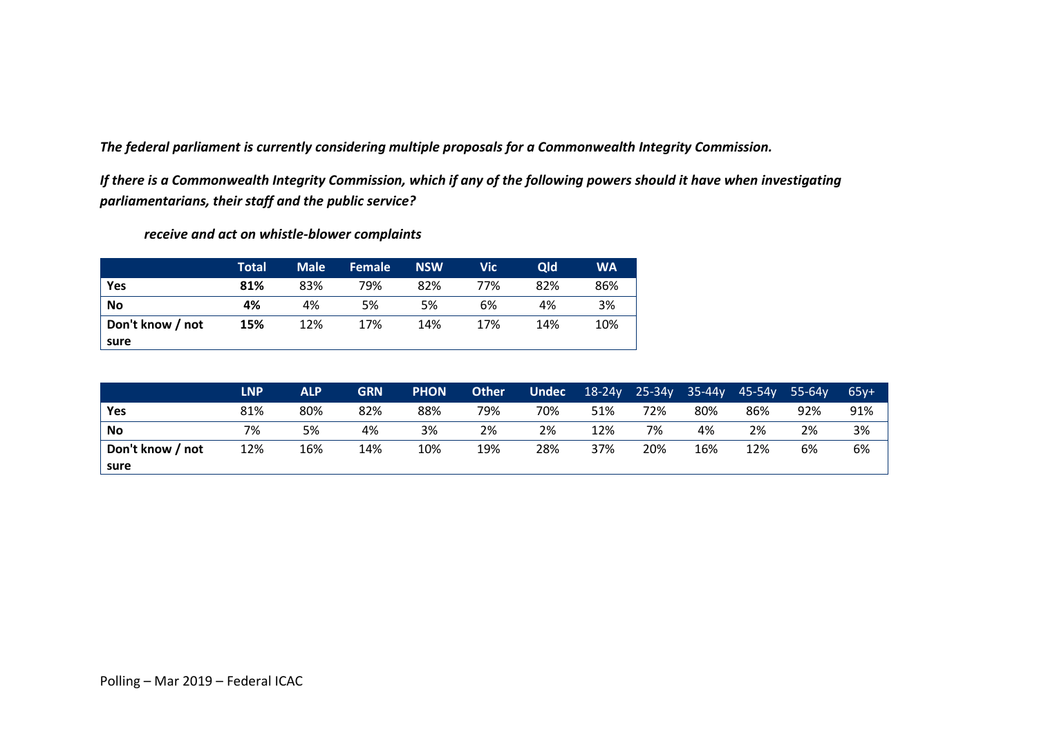*The federal parliament is currently considering multiple proposals for a Commonwealth Integrity Commission.* 

*If there is a Commonwealth Integrity Commission, which if any of the following powers should it have when investigating parliamentarians, their staff and the public service?*

*receive and act on whistle-blower complaints*

|                  | <b>Total</b> | <b>Male</b> | <b>Female</b> | <b>NSW</b> | Vic | <b>Qld</b> | <b>WA</b> |
|------------------|--------------|-------------|---------------|------------|-----|------------|-----------|
| Yes              | 81%          | 83%         | 79%           | 82%        | 77% | 82%        | 86%       |
| No               | 4%           | 4%          | 5%            | 5%         | 6%  | 4%         | 3%        |
| Don't know / not | 15%          | 12%         | 17%           | 14%        | 17% | 14%        | 10%       |
| sure             |              |             |               |            |     |            |           |

|                  | <b>LNP</b> | <b>ALP</b> | <b>GRN</b> | <b>PHON</b> | <b>Other</b> | <b>Undec</b> | $18-24y$ | $25 - 34y$ | $35-44v$ | $45-54v$ | 55-64 <sub>v</sub> | $65v+$ |
|------------------|------------|------------|------------|-------------|--------------|--------------|----------|------------|----------|----------|--------------------|--------|
| Yes              | 81%        | 80%        | 82%        | 88%         | 79%          | 70%          | 51%      | 72%        | 80%      | 86%      | 92%                | 91%    |
| <b>No</b>        | 7%         | 5%         | 4%         | 3%          | 2%           | 2%           | 12%      | 7%         | 4%       | 2%       | 2%                 | 3%     |
| Don't know / not | 12%        | 16%        | 14%        | 10%         | 19%          | 28%          | 37%      | 20%        | 16%      | 12%      | 6%                 | 6%     |
| sure             |            |            |            |             |              |              |          |            |          |          |                    |        |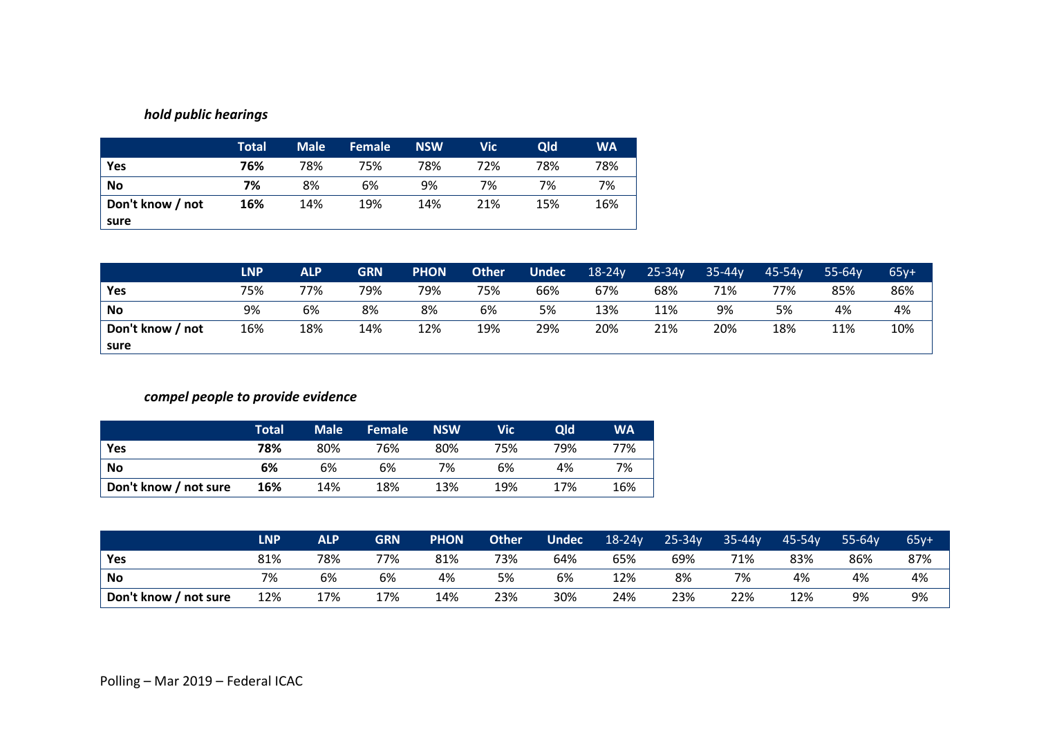### *hold public hearings*

|                  | <b>Total</b> | <b>Male</b> | <b>Female</b> | <b>NSW</b> | <b>Vic</b> | <b>Qld</b> | <b>WA</b> |
|------------------|--------------|-------------|---------------|------------|------------|------------|-----------|
| Yes              | 76%          | 78%         | 75%           | 78%        | 72%        | 78%        | 78%       |
| <b>No</b>        | 7%           | 8%          | 6%            | 9%         | 7%         | 7%         | 7%        |
| Don't know / not | 16%          | 14%         | 19%           | 14%        | 21%        | 15%        | 16%       |
| sure             |              |             |               |            |            |            |           |

|                  | <b>LNP</b> | <b>ALP</b> | <b>GRN</b> | <b>PHON</b> | <b>Other</b> | <b>Undec</b> | $18-24y$ | $25 - 34y$ | $35 - 44v$ | 45-54v | $55 - 64v$ | $65y+$ |
|------------------|------------|------------|------------|-------------|--------------|--------------|----------|------------|------------|--------|------------|--------|
| Yes              | 75%        | 77%        | 79%        | 79%         | 75%          | 66%          | 67%      | 68%        | 71%        | 77%    | 85%        | 86%    |
| <b>No</b>        | 9%         | 6%         | 8%         | 8%          | 6%           | 5%           | 13%      | 11%        | 9%         | 5%     | 4%         | 4%     |
| Don't know / not | 16%        | 18%        | 14%        | 12%         | 19%          | 29%          | 20%      | 21%        | 20%        | 18%    | 11%        | 10%    |
| sure             |            |            |            |             |              |              |          |            |            |        |            |        |

### *compel people to provide evidence*

|                       | Total | <b>Male</b> | <b>Female</b> | <b>NSW</b> | Vic | Qld | <b>WA</b> |
|-----------------------|-------|-------------|---------------|------------|-----|-----|-----------|
| <b>Yes</b>            | 78%   | 80%         | 76%           | 80%        | 75% | 79% | 77%       |
| No                    | 6%    | 6%          | 6%            | 7%         | 6%  | 4%  | 7%        |
| Don't know / not sure | 16%   | 14%         | 18%           | 13%        | 19% | 17% | 16%       |

|                       | LNP | <b>ALP</b> | <b>GRN</b> | <b>PHON</b> | <b>Other</b> | <b>Undec</b> | $18-24y$ | $25 - 34y$ | $35 - 44y$ | $45 - 54v$ | $55 - 64v$ | $65y+$ |
|-----------------------|-----|------------|------------|-------------|--------------|--------------|----------|------------|------------|------------|------------|--------|
| Yes                   | 81% | 78%        | 77%        | 81%         | 73%          | 64%          | 65%      | 69%        | 71%        | 83%        | 86%        | 87%    |
| <b>No</b>             | 7%  | 6%         | 6%         | 4%          | 5%           | 6%           | 12%      | 8%         | 7%         | 4%         | 4%         | 4%     |
| Don't know / not sure | 12% | 17%        | 17%        | 14%         | 23%          | 30%          | 24%      | 23%        | 22%        | 12%        | 9%         | 9%     |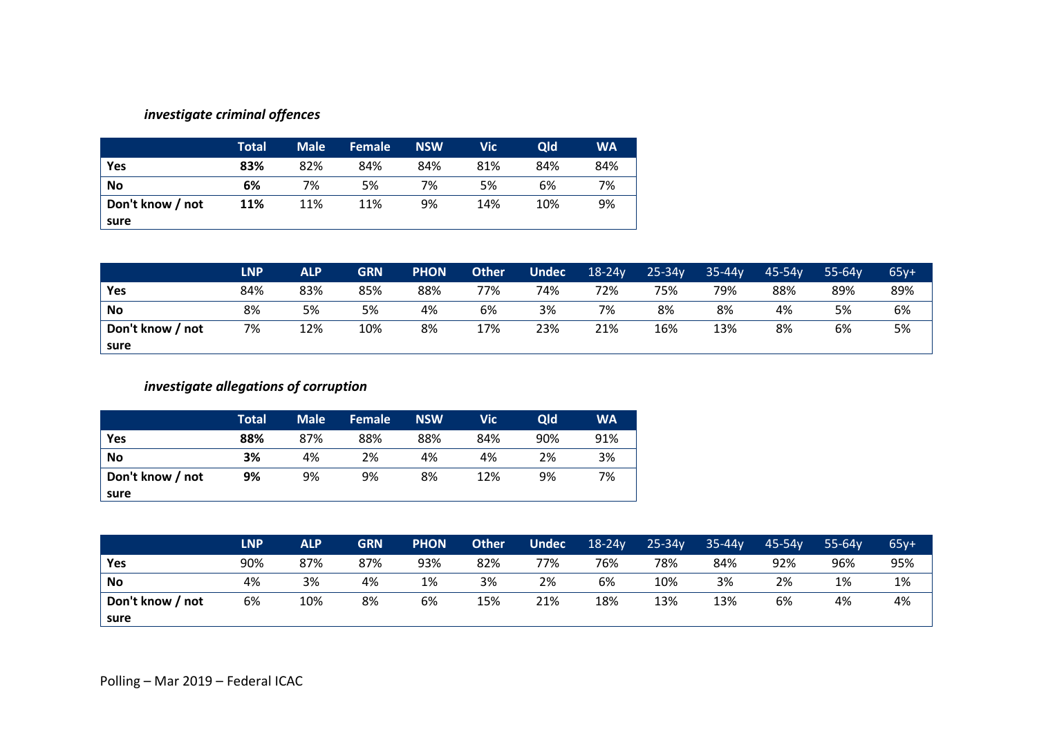### *investigate criminal offences*

|                  | <b>Total</b> | <b>Male</b> | <b>Female</b> | <b>NSW</b> | Vic | <b>Qld</b> | <b>WA</b> |
|------------------|--------------|-------------|---------------|------------|-----|------------|-----------|
| Yes              | 83%          | 82%         | 84%           | 84%        | 81% | 84%        | 84%       |
| <b>No</b>        | 6%           | 7%          | 5%            | 7%         | 5%  | 6%         | 7%        |
| Don't know / not | 11%          | 11%         | 11%           | 9%         | 14% | 10%        | 9%        |
| sure             |              |             |               |            |     |            |           |

|                  | <b>LNP</b> | <b>ALP</b> | <b>GRN</b> | <b>PHON</b> | <b>Other</b> | <b>Undec</b> | $18-24y$ | $25 - 34y$ | $35 - 44v$ | 45-54v | $55 - 64v$ | $.65v+$ |
|------------------|------------|------------|------------|-------------|--------------|--------------|----------|------------|------------|--------|------------|---------|
| Yes              | 84%        | 83%        | 85%        | 88%         | 77%          | 74%          | 72%      | 75%        | 79%        | 88%    | 89%        | 89%     |
| <b>No</b>        | 8%         | 5%         | 5%         | 4%          | 6%           | 3%           | 7%       | 8%         | 8%         | 4%     | 5%         | 6%      |
| Don't know / not | 7%         | 12%        | 10%        | 8%          | 17%          | 23%          | 21%      | 16%        | 13%        | 8%     | 6%         | 5%      |
| sure             |            |            |            |             |              |              |          |            |            |        |            |         |

### *investigate allegations of corruption*

|                  | Total | <b>Male</b> | <b>Female</b> | <b>NSW</b> | <b>Vic</b> | Qld | <b>WA</b> |
|------------------|-------|-------------|---------------|------------|------------|-----|-----------|
| Yes              | 88%   | 87%         | 88%           | 88%        | 84%        | 90% | 91%       |
| <b>No</b>        | 3%    | 4%          | 2%            | 4%         | 4%         | 2%  | 3%        |
| Don't know / not | 9%    | 9%          | 9%            | 8%         | 12%        | 9%  | 7%        |
| sure             |       |             |               |            |            |     |           |

|                  | LNP | <b>ALP</b> | <b>GRN</b> | <b>PHON</b> | <b>Other</b> | <b>Undec</b> | $18-24y$ | $25 - 34y$ | $35 - 44v$ | $45 - 54v$ | $55 - 64v$ | $65y+$ |
|------------------|-----|------------|------------|-------------|--------------|--------------|----------|------------|------------|------------|------------|--------|
| Yes              | 90% | 87%        | 87%        | 93%         | 82%          | 77%          | 76%      | 78%        | 84%        | 92%        | 96%        | 95%    |
| <b>No</b>        | 4%  | 3%         | 4%         | 1%          | 3%           | 2%           | 6%       | 10%        | 3%         | 2%         | 1%         | 1%     |
| Don't know / not | 6%  | 10%        | 8%         | 6%          | 15%          | 21%          | 18%      | 13%        | 13%        | 6%         | 4%         | 4%     |
| sure             |     |            |            |             |              |              |          |            |            |            |            |        |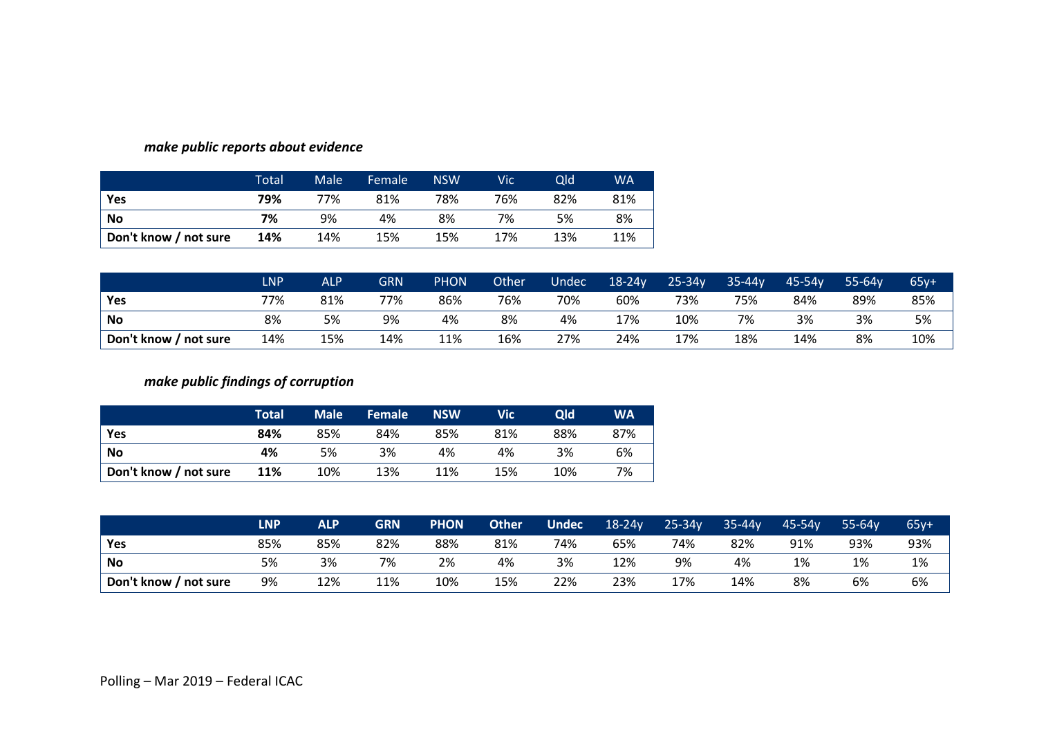|                       | Total | Male | Female | <b>NSW</b> | Vic | Old | <b>WA</b> |
|-----------------------|-------|------|--------|------------|-----|-----|-----------|
| Yes                   | 79%   | 77%  | 81%    | 78%        | 76% | 82% | 81%       |
| No                    | 7%    | 9%   | 4%     | 8%         | 7%  | 5%  | 8%        |
| Don't know / not sure | 14%   | 14%  | 15%    | 15%        | 17% | 13% | 11%       |

#### *make public reports about evidence*

|                       | <b>LNP</b> | <b>ALP</b> | GRN | <b>PHON</b> | Other | Undec | $18-24y$ | $25 - 34y$ | $35 - 44y$ | $45-54y$ | $55 - 64v$ | $65y+$ |
|-----------------------|------------|------------|-----|-------------|-------|-------|----------|------------|------------|----------|------------|--------|
| Yes                   | 77%        | 81%        | 77% | 86%         | 76%   | 70%   | 60%      | 73%        | 75%        | 84%      | 89%        | 85%    |
| <b>No</b>             | 8%         | 5%         | 9%  | 4%          | 8%    | 4%    | 17%      | 10%        | 7%         | 3%       | 3%         | 5%     |
| Don't know / not sure | 14%        | 15%        | 14% | 11%         | 16%   | 27%   | 24%      | 17%        | 18%        | 14%      | 8%         | 10%    |

### *make public findings of corruption*

|                       | Total | <b>Male</b> | <b>Female</b> | <b>NSW</b> | Vic | <b>Qld</b> | <b>WA</b> |
|-----------------------|-------|-------------|---------------|------------|-----|------------|-----------|
| Yes                   | 84%   | 85%         | 84%           | 85%        | 81% | 88%        | 87%       |
| <b>No</b>             | 4%    | 5%          | 3%            | 4%         | 4%  | 3%         | 6%        |
| Don't know / not sure | 11%   | 10%         | 13%           | 11%        | 15% | 10%        | 7%        |

|                       | <b>LNP</b> | <b>ALP</b> | <b>GRN</b> | <b>PHON</b> | <b>Other</b> | <b>Undec</b> | $18-24y$ | $25 - 34y$ | $35-44y$ | $45 - 54v$ | $55 - 64v$ | $65y+$ |
|-----------------------|------------|------------|------------|-------------|--------------|--------------|----------|------------|----------|------------|------------|--------|
| Yes                   | 85%        | 85%        | 82%        | 88%         | 81%          | 74%          | 65%      | 74%        | 82%      | 91%        | 93%        | 93%    |
| <b>No</b>             | 5%         | 3%         | 7%         | 2%          | 4%           | 3%           | 12%      | 9%         | 4%       | 1%         | 1%         | 1%     |
| Don't know / not sure | 9%         | 12%        | 11%        | 10%         | 15%          | 22%          | 23%      | 17%        | 14%      | 8%         | 6%         | 6%     |